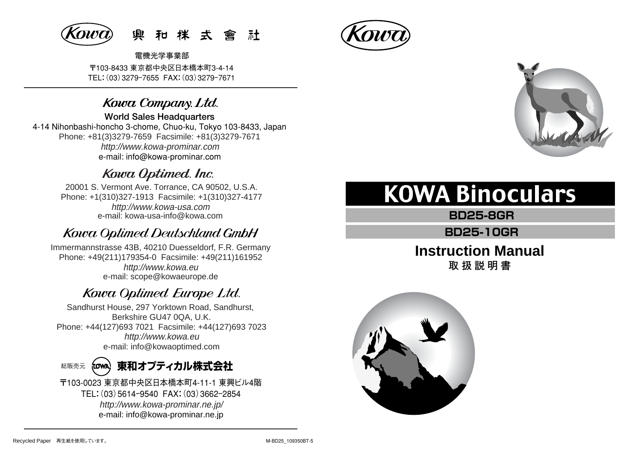

〒103-8433 東京都中央区日本橋本町3-4-14 TEL:(03)3279ー7655 FAX:(03)3279ー7671 **電機光学事業部** 

# Kowa Company. Ltd.

**World Sales Headquarters** 

4-14 Nihonbashi-honcho 3-chome, Chuo-ku, Tokyo 103-8433, Japan Phone: +81(3)3279-7659 Facsimile: +81(3)3279-7671 http://www.kowa-prominar.com e-mail: info@kowa-prominar.com

# Kowa Optimed. Inc.

20001 S. Vermont Ave. Torrance, CA 90502, U.S.A. Phone: +1(310)327-1913 Facsimile: +1(310)327-4177 e-mail: kowa-usa-info@kowa.com http://www.kowa-usa.com

# **Kowa Optimed Deutschland GmbH**

http://www.kowa.eu e-mail: scope@kowaeurope.de Immermannstrasse 43B, 40210 Duesseldorf, F.R. Germany Phone: +49(211)179354-0 Facsimile: +49(211)161952

# Kowa Optimed Europe Ltd.

Sandhurst House, 297 Yorktown Road, Sandhurst, Berkshire GU47 0QA, U.K. Phone: +44(127)693 7021 Facsimile: +44(127)693 7023 http://www.kowa.eu e-mail: info@kowaoptimed.com

#### **東和オプティカル株式会社**  総販売元 frown)

〒103-0023 東京都中央区日本橋本町4-11-1 東興ビル4階 TEL:(03)5614ー9540 FAX:(03)3662ー2854 http://www.kowa-prominar.ne.jp/ e-mail: info@kowa-prominar.ne.jp





# **KOWA Binoculars**

**BD25-8GR**

**BD25-10GR**

# **Instruction Manual 取扱説明書**

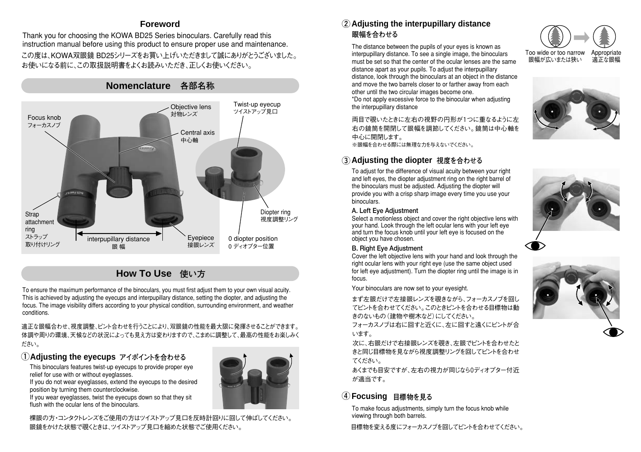## **Foreword**

この度は、KOWA双眼鏡 BD25シリーズをお買い上げいただきまして誠にありがとうございました。 お使いになる前に、この取扱説明書をよくお読みいただき、正しくお使いください。 Thank you for choosing the KOWA BD25 Series binoculars. Carefully read this instruction manual before using this product to ensure proper use and maintenance.



# **How To Use 使い方**

To ensure the maximum performance of the binoculars, you must first adjust them to your own visual acuity. This is achieved by adjusting the eyecups and interpupillary distance, setting the diopter, and adjusting the focus. The image visibility differs according to your physical condition, surrounding environment, and weather conditions.

適正な眼幅合わせ、視度調整、ピント合わせを行うことにより、双眼鏡の性能を最大限に発揮させることができます。 体調や周りの環境、天候などの状況によっても見え方は変わりますので、こまめに調整して、最高の性能をお楽しみく ださい。

## **Adjusting the eyecups ① アイポイントを合わせる**

This binoculars features twist-up eyecups to provide proper eye relief for use with or without eyeglasses.

If you do not wear eyeglasses, extend the eyecups to the desired position by turning them counterclockwise.

If you wear eyeglasses, twist the eyecups down so that they sit flush with the ocular lens of the binoculars.



## **② Adjusting the interpupillary distance 眼幅を合わせる**

The distance between the pupils of your eyes is known as interpupillary distance. To see a single image, the binoculars must be set so that the center of the ocular lenses are the same distance apart as your pupils. To adjust the interpupillary distance, look through the binoculars at an object in the distance and move the two barrels closer to or farther away from each other until the two circular images become one.

\*Do not apply excessive force to the binocular when adjusting the interpupillary distance

両目で覗いたときに左右の視野の円形が1つに重なるように左 右の鏡筒を開閉して眼幅を調節してください。鏡筒は中心軸を 中心に開閉します。

※眼幅を合わせる際には無理な力を与えないでください。

## **③ Adjusting the diopter 視度を合わせる**

To adjust for the difference of visual acuity between your right and left eyes, the diopter adjustment ring on the right barrel of the binoculars must be adjusted. Adjusting the diopter will provide you with a crisp sharp image every time you use your binoculars.

#### **A. Left Eye Adjustment**

Select a motionless object and cover the right objective lens with your hand. Look through the left ocular lens with your left eye and turn the focus knob until your left eye is focused on the object you have chosen.



#### **B. Right Eye Adjustment**

Cover the left objective lens with your hand and look through the right ocular lens with your right eye (use the same object used for left eye adjustment). Turn the diopter ring until the image is in focus.

Your binoculars are now set to your eyesight.

まず左眼だけで左接眼レンズを覗きながら、フォーカスノブを回し てピントを合わせてください。このときピントを合わせる目標物は動 きのないもの(建物や樹木など)にしてください。

フォーカスノブは右に回すと近くに、左に回すと遠くにピントが合 います。

次に、右眼だけで右接眼レンズを覗き、左眼でピントを合わせたと きと同じ目標物を見ながら視度調整リングを回してピントを合わせ てください。

あくまでも目安ですが、左右の視力が同じなら0ディオプター付近 が適当です。

## **④ Focusing 目標物を見る**

To make focus adjustments, simply turn the focus knob while viewing through both barrels.

目標物を変える度にフォーカスノブを回してピントを合わせてください。







**Appropriate** 適正な眼幅

Too wide or too narrow 眼幅が広いまたは狭い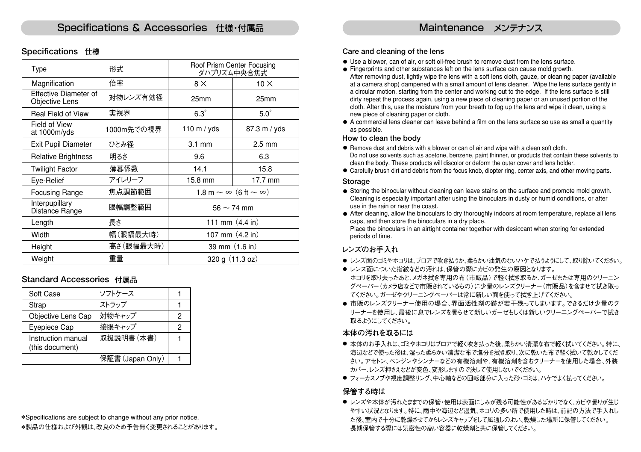## **Specifications 仕様**

| Type                                           | 形式         | Roof Prism Center Focusing<br>ダハプリズム中央合焦式 |                  |
|------------------------------------------------|------------|-------------------------------------------|------------------|
| Magnification                                  | 倍率         | $8\times$                                 | $10 \times$      |
| Effective Diameter of<br><b>Objective Lens</b> | 対物レンズ有効径   | 25mm                                      | 25mm             |
| <b>Real Field of View</b>                      | 実視界        | $6.3^\circ$                               | $5.0^\circ$      |
| Field of View<br>at 1000m/yds                  | 1000m先での視界 | 110 m / $yds$                             | 87.3 m / yds     |
| <b>Exit Pupil Diameter</b>                     | ひとみ径       | $3.1 \text{ mm}$                          | $2.5 \text{ mm}$ |
| <b>Relative Brightness</b>                     | 明るさ        | 9.6                                       | 6.3              |
| <b>Twilight Factor</b>                         | 薄暮係数       | 14.1                                      | 15.8             |
| Eye-Relief                                     | アイレリーフ     | 15.8 mm                                   | 17.7 mm          |
| <b>Focusing Range</b>                          | 焦点調節範囲     | 1.8 m $\sim \infty$ (6 ft $\sim \infty$ ) |                  |
| Interpupillary<br>Distance Range               | 眼幅調整範囲     | $56 \sim 74$ mm                           |                  |
| Length                                         | 長さ         | 111 mm $(4.4 \text{ in})$                 |                  |
| Width                                          | 幅(眼幅最大時)   | 107 mm $(4.2 \text{ in})$                 |                  |
| Height                                         | 高さ(眼幅最大時)  | 39 mm (1.6 in)                            |                  |
| Weight                                         | 重量         | 320 g (11.3 oz)                           |                  |

## **Standard Accessories 付属品**

| Soft Case                             | ソフトケース           |   |
|---------------------------------------|------------------|---|
| Strap                                 | ストラップ            |   |
| Objective Lens Cap                    | 対物キャップ           | 2 |
| Evepiece Cap                          | 接眼キャップ           | 2 |
| Instruction manual<br>(this document) | 取扱説明書(本書)        |   |
|                                       | 保証書 (Japan Only) |   |

#### **Care and cleaning of the lens**

- Use a blower, can of air, or soft oil-free brush to remove dust from the lens surface.
- Fingerprints and other substances left on the lens surface can cause mold growth. After removing dust, lightly wipe the lens with a soft lens cloth, gauze, or cleaning paper (available at a camera shop) dampened with a small amount of lens cleaner. Wipe the lens surface gently in a circular motion, starting from the center and working out to the edge. If the lens surface is still dirty repeat the process again, using a new piece of cleaning paper or an unused portion of the cloth. After this, use the moisture from your breath to fog up the lens and wipe it clean, using a new piece of cleaning paper or cloth.
- A commercial lens cleaner can leave behind a film on the lens surface so use as small a quantity as possible.

#### **How to clean the body**

- Remove dust and debris with a blower or can of air and wipe with a clean soft cloth. Do not use solvents such as acetone, benzene, paint thinner, or products that contain these solvents to clean the body. These products will discolor or deform the outer cover and lens holder.
- Carefully brush dirt and debris from the focus knob, diopter ring, center axis, and other moving parts.

#### **Storage**

- Storing the binocular without cleaning can leave stains on the surface and promote mold growth. Cleaning is especially important after using the binoculars in dusty or humid conditions, or after use in the rain or near the coast.
- After cleaning, allow the binoculars to dry thoroughly indoors at room temperature, replace all lens caps, and then store the binoculars in a dry place.

Place the binoculars in an airtight container together with desiccant when storing for extended periods of time.

## **レンズのお手入れ**

- レンズ面のゴミやホコリは、ブロアで吹き払うか、柔らかい油気のないハケで払うようにして、取り除いてください。
- レンズ面についた指紋などの汚れは、保管の際にカビの発生の原因となります。 ホコリを取り去ったあと、メガネ拭き専用の布(市販品)で軽く拭き取るか、ガーゼまたは専用のクリーニン グペーパー(カメラ店などで市販されているもの)に少量のレンズクリーナー(市販品)を含ませて拭き取っ てください。ガーゼやクリーニングペーパーは常に新しい面を使って拭き上げてください。
- 市販のレンズクリーナー使用の場合、界面活性剤の跡が若干残ってしまいます。できるだけ少量のク リーナーを使用し、最後に息でレンズを曇らせて新しいガーゼもしくは新しいクリーニングペーパーで拭き 取るようにしてください。

#### **本体の汚れを取るには**

- 本体のお手入れは、ゴミやホコリはブロアで軽く吹き払った後、柔らかい清潔な布で軽く拭いてください。特に、 海辺などで使った後は、湿った柔らかい清潔な布で塩分を拭き取り、次に乾いた布で軽く拭いて乾かしてくだ さい。アセトン、ベンジンやシンナーなどの有機溶剤や、有機溶剤を含むクリーナーを使用した場合、外装 カバー、レンズ押さえなどが変色、変形しますので決して使用しないでください。
- フォーカスノブや視度調整リング、中心軸などの回転部分に入った砂・ゴミは、ハケでよく払ってください。

### **保管する時は**

● レンズや本体が汚れたままでの保管・使用は表面にしみが残る可能性があるばかりでなく、カビや曇りが生じ やすい状況となります。特に、雨中や海辺など湿気、ホコリの多い所で使用した時は、前記の方法で手入れし た後、室内で十分に乾燥させてからレンズキャップをして風通しのよい、乾燥した場所に保管してください。 長期保管する際には気密性の高い容器に乾燥剤と共に保管してください。